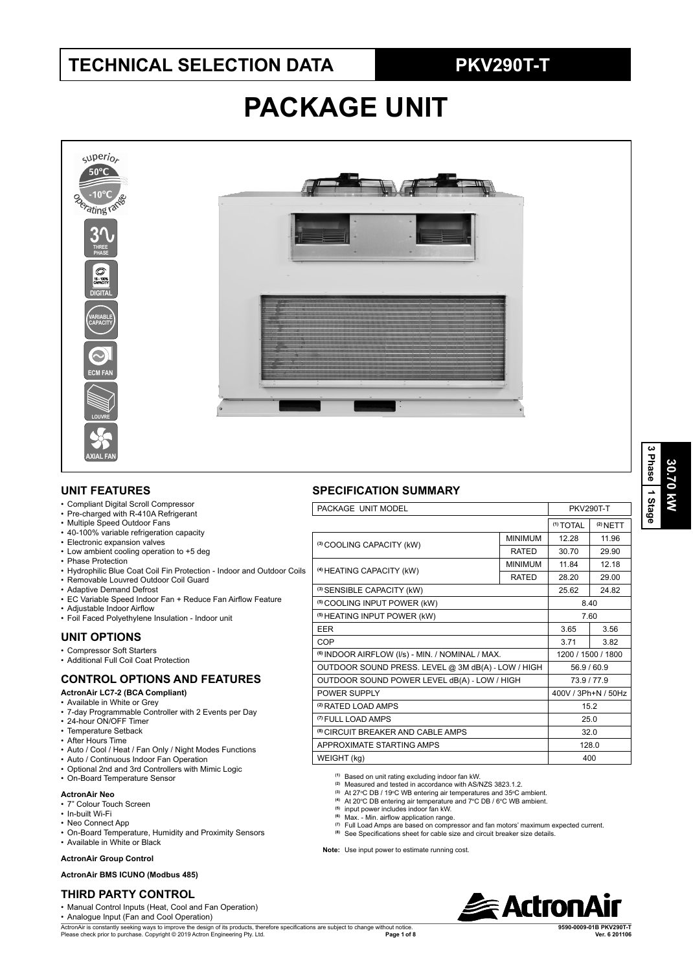# **TECHNICAL SELECTION DATA PKV290T-T**

# **PACKAGE UNIT**



### **UNIT FEATURES**

- Compliant Digital Scroll Compressor
- Pre-charged with R-410A Refrigerant
- Multiple Speed Outdoor Fans
- 40-100% variable refrigeration capacity
- Electronic expansion valves • Low ambient cooling operation to +5 deg
- Phase Protection
- Hydrophilic Blue Coat Coil Fin Protection Indoor and Outdoor Coils
- Removable Louvred Outdoor Coil Guard
- Adaptive Demand Defrost
- EC Variable Speed Indoor Fan + Reduce Fan Airflow Feature
- Adjustable Indoor Airflow
- Foil Faced Polyethylene Insulation Indoor unit

## **UNIT OPTIONS**

- Compressor Soft Starters
- Additional Full Coil Coat Protection

## **CONTROL OPTIONS AND FEATURES**

### **ActronAir LC7-2 (BCA Compliant)**

- Available in White or Grey
- 7-day Programmable Controller with 2 Events per Day
- 24-hour ON/OFF Timer
- Temperature Setback • After Hours Time
- Auto / Cool / Heat / Fan Only / Night Modes Functions
- Auto / Continuous Indoor Fan Operation
- Optional 2nd and 3rd Controllers with Mimic Logic
- On-Board Temperature Sensor

#### **ActronAir Neo**

- 7" Colour Touch Screen
- In-built Wi-Fi
- Neo Connect App
- On-Board Temperature, Humidity and Proximity Sensors
- Available in White or Black

#### **ActronAir Group Control**

#### **ActronAir BMS ICUNO (Modbus 485)**

### **THIRD PARTY CONTROL**

• Manual Control Inputs (Heat, Cool and Fan Operation)

• Analogue Input (Fan and Cool Operation)

ActronAir is constantly seeking ways to improve the design of its products, therefore specifications are subject to change without notice. Please check prior to purchase. Copyright © 2019 Actron Engineering Pty. Ltd. **Page 1 of 8** 

### **SPECIFICATION SUMMARY**

| PACKAGE UNIT MODEL                                          | <b>PKV290T-T</b> |                      |                     |  |  |
|-------------------------------------------------------------|------------------|----------------------|---------------------|--|--|
|                                                             |                  | <sup>(1)</sup> TOTAL | $(2)$ NETT          |  |  |
|                                                             | <b>MINIMUM</b>   | 12.28                | 11.96               |  |  |
| (3) COOLING CAPACITY (kW)                                   | <b>RATED</b>     | 30.70                | 29.90               |  |  |
| (4) HEATING CAPACITY (kW)                                   | <b>MINIMUM</b>   | 11.84                | 12.18               |  |  |
|                                                             | <b>RATED</b>     | 28.20                | 29.00               |  |  |
| (3) SENSIBLE CAPACITY (kW)                                  | 25.62            | 24.82                |                     |  |  |
| <sup>(5)</sup> COOLING INPUT POWER (kW)                     |                  | 8.40                 |                     |  |  |
| <sup>(5)</sup> HEATING INPUT POWER (kW)                     | 7.60             |                      |                     |  |  |
| <b>FFR</b>                                                  | 3.65             | 3.56                 |                     |  |  |
| COP                                                         | 3.71             | 3.82                 |                     |  |  |
| <sup>(6)</sup> INDOOR AIRFLOW (I/s) - MIN. / NOMINAL / MAX. |                  | 1200 / 1500 / 1800   |                     |  |  |
| OUTDOOR SOUND PRESS. LEVEL @ 3M dB(A) - LOW / HIGH          |                  | 56.9 / 60.9          |                     |  |  |
| OUTDOOR SOUND POWER LEVEL dB(A) - LOW / HIGH                |                  |                      | 73.9/77.9           |  |  |
| POWER SUPPLY                                                |                  |                      | 400V / 3Ph+N / 50Hz |  |  |
| <sup>(2)</sup> RATED LOAD AMPS                              |                  |                      | 15.2                |  |  |
| <sup>(7)</sup> FULL LOAD AMPS                               |                  | 25.0                 |                     |  |  |
| <sup>(8)</sup> CIRCUIT BREAKER AND CABLE AMPS               |                  | 32.0                 |                     |  |  |
| APPROXIMATE STARTING AMPS                                   | 128.0            |                      |                     |  |  |
| WEIGHT (kg)                                                 |                  | 400                  |                     |  |  |
|                                                             |                  |                      |                     |  |  |

**(1)** Based on unit rating excluding indoor fan kW. **(2)** Measured and tested in accordance with AS/NZS 3823.1.2.

- 
- <sup>(3)</sup> At 27°C DB / 19°C WB entering air temperatures and 35°C ambient.<br>⑷ At 20°C DB entering air temperature and 7°C DB / 6°C WB ambient.
- 
- **(5)** input power includes indoor fan kW.
- <sup>(6)</sup> Max. Min. airflow application range.<br><sup>(7)</sup> Full Load Amps are based on compressor and fan motors' maximum expected current.
- **(8)** See Specifications sheet for cable size and circuit breaker size details.

**Note:** Use input power to estimate running cost.



**9590-0009-01B PKV290T-T**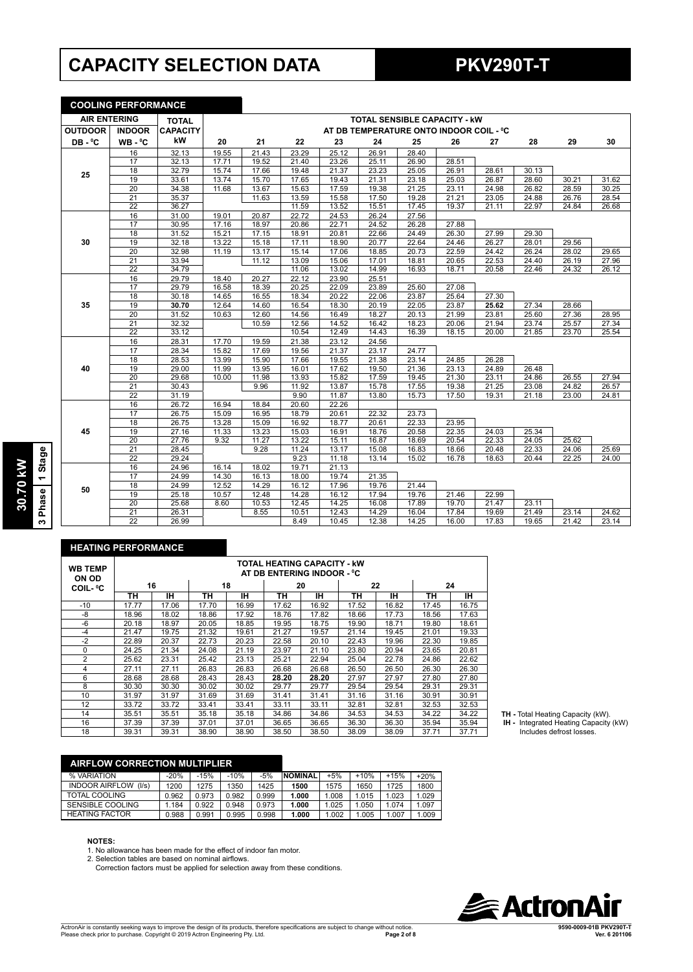# **CAPACITY SELECTION DATA PKV290T-T**

**COOLING PERFORMANCE**

#### **AIR ENTERING TOTAL**<br> **OUTDOOR | INDOOR CAPACIT CAPACITY kW TOTAL SENSIBLE CAPACITY - kW OUTDOOR INDOOR AT DB TEMPERATURE ONTO INDOOR COIL - 0 C DB - 0 WB - °C**<br>16 **C 20 21 22 23 24 25 26 27 28 29 30 25** 16 | 32.13 | 19.55 | 21.43 | 23.29 | 25.12 | 26.91 | 28.40 17 | 32.13 | 17.71 | 19.52 | 21.40 | 23.26 | 25.11 | 26.90 | 28.51 18 | 32.79 | 15.74 | 17.66 | 19.48 | 21.37 | 23.23 | 25.05 | 26.91 | 28.61 | 30.13 19 | 33.61 | 13.74 | 15.70 | 17.65 | 19.43 | 21.31 | 23.18 | 25.03 | 26.87 | 28.60 | 30.21 | 31.62 20 34.38 11.68 13.67 15.63 17.59 19.38 21.25 23.11 24.98 26.82 28.59 30.25 21 35.37 11.63 13.59 15.58 17.50 19.28 21.21 23.05 24.88 26.76 28.54 22 36.27 11.59 13.52 15.51 17.45 19.37 21.11 22.97 24.84 26.68 **30** 16 | 31.00 | 19.01 | 20.87 | 22.72 | 24.53 | 26.24 | 27.56 17 | 30.95 | 17.16 | 18.97 | 20.86 | 22.71 | 24.52 | 26.28 | 27.88 18 | 31.52 | 15.21 | 17.15 | 18.91 | 20.81 | 22.66 | 24.49 | 26.30 | 27.99 | 29.30 19 32.18 13.22 15.18 17.11 18.90 20.77 22.64 24.46 26.27 28.01 29.56 20 32.98 11.19 13.17 15.14 17.06 18.85 20.73 22.59 24.42 26.24 28.02 29.65 21 33.94 11.12 13.09 15.06 17.01 18.81 20.65 22.53 24.40 26.19 27.96 22 34.79 11.06 13.02 14.99 16.93 18.71 20.58 22.46 24.32 26.12 **35** 16 29.79 18.40 20.27 22.12 23.90 25.51 17 29.79 16.58 18.39 20.25 22.09 23.89 25.60 27.08 18 | 30.18 | 14.65 | 16.55 | 18.34 | 20.22 | 22.06 | 23.87 | 25.64 | 27.30 19 **30.70** 12.64 14.60 16.54 18.30 20.19 22.05 23.87 **25.62** 27.34 28.66 20 31.52 10.63 12.60 14.56 16.49 18.27 20.13 21.99 23.81 25.60 27.36 28.95 21 | 32.32 | | 10.59 | 12.56 | 14.52 | 16.42 | 18.23 | 20.06 | 21.94 | 23.74 | 25.57 | 27.34 22 33.12 10.54 12.49 14.43 16.39 18.15 20.00 21.85 23.70 25.54 **40** 16 28.31 17.70 19.59 21.38 23.12 24.56 17 | 28.34 | 15.82 | 17.69 | 19.56 | 21.37 | 23.17 | 24.77 18 28.53 13.99 15.90 17.66 19.55 21.38 23.14 24.85 26.28 19 | 29.00 | 11.99 | 13.95 | 16.01 | 17.62 | 19.50 | 21.36 | 23.13 | 24.89 | 26.48 20 | 29.68 | 10.00 | 11.98 | 13.93 | 15.82 | 17.59 | 19.45 | 21.30 | 23.11 | 24.86 | 26.55 | 27.94 21 30.43 9.96 11.92 13.87 15.78 17.55 19.38 21.25 23.08 24.82 26.57 22 31.19 9.90 11.87 13.80 15.73 17.50 19.31 21.18 23.00 24.81 **45** 16 26.72 16.94 18.84 20.60 22.26 17 | 26.75 | 15.09 | 16.95 | 18.79 | 20.61 | 22.32 | 23.73 18 26.75 13.28 15.09 16.92 18.77 20.61 22.33 23.95 19 | 27.16 | 11.33 | 13.23 | 15.03 | 16.91 | 18.76 | 20.58 | 22.35 | 24.03 | 25.34 20 | 27.76 | 9.32 | 11.27 | 13.22 | 15.11 | 16.87 | 18.69 | 20.54 | 22.33 | 24.05 | 25.62 21 28.45 9.28 11.24 13.17 15.08 16.83 18.66 20.48 22.33 24.06 25.69 22 | 29.24 | | 9.23 | 11.18 | 13.14 | 15.02 | 16.78 | 18.63 | 20.44 | 22.25 | 24.00 **50** 16 24.96 16.14 18.02 19.71 21.13 17 24.99 14.30 16.13 18.00 19.74 21.35 18 24.99 12.52 14.29 16.12 17.96 19.76 21.44 19 25.18 10.57 12.48 14.28 16.12 17.94 19.76 21.46 22.99 20 25.68 8.60 10.53 12.45 14.25 16.08 17.89 19.70 21.47 23.11 21 26.31 8.55 10.51 12.43 14.29 16.04 17.84 19.69 21.49 23.14 24.62 22 | 26.99 | | 8.49 | 10.45 | 12.38 | 14.25 | 16.00 | 17.83 | 19.65 | 21.42 | 23.14

# **HEATING PERFORMANCE WB TEMP ON OD COIL- 0 C**

| <b>WB TEMP</b><br>ON OD | TOTAL HEATING CAPACITY - kW<br>AT DB ENTERING INDOOR - °C |           |       |       |       |           |       |       |       |       |  |  |
|-------------------------|-----------------------------------------------------------|-----------|-------|-------|-------|-----------|-------|-------|-------|-------|--|--|
| COIL- °C                |                                                           | 16        |       | 18    |       | 20        |       | 22    | 24    |       |  |  |
|                         | ΤН                                                        | <b>IH</b> | ΤН    | ıн    | ΤН    | <b>IH</b> | TН    | IH.   | TН    | IH.   |  |  |
| $-10$                   | 17.77                                                     | 17.06     | 17.70 | 16.99 | 17.62 | 16.92     | 17.52 | 16.82 | 17.45 | 16.75 |  |  |
| -8                      | 18.96                                                     | 18.02     | 18.86 | 17.92 | 18.76 | 17.82     | 18.66 | 17.73 | 18.56 | 17.63 |  |  |
| $-6$                    | 20.18                                                     | 18.97     | 20.05 | 18.85 | 19.95 | 18.75     | 19.90 | 18.71 | 19.80 | 18.61 |  |  |
| $-4$                    | 21.47                                                     | 19.75     | 21.32 | 19.61 | 21.27 | 19.57     | 21.14 | 19.45 | 21.01 | 19.33 |  |  |
| $-2$                    | 22.89                                                     | 20.37     | 22.73 | 20.23 | 22.58 | 20.10     | 22.43 | 19.96 | 22.30 | 19.85 |  |  |
| $\Omega$                | 24.25                                                     | 21.34     | 24.08 | 21.19 | 23.97 | 21.10     | 23.80 | 20.94 | 23.65 | 20.81 |  |  |
| $\overline{2}$          | 25.62                                                     | 23.31     | 25.42 | 23.13 | 25.21 | 22.94     | 25.04 | 22.78 | 24.86 | 22.62 |  |  |
| 4                       | 27.11                                                     | 27.11     | 26.83 | 26.83 | 26.68 | 26.68     | 26.50 | 26.50 | 26.30 | 26.30 |  |  |
| 6                       | 28.68                                                     | 28.68     | 28.43 | 28.43 | 28.20 | 28.20     | 27.97 | 27.97 | 27.80 | 27.80 |  |  |
| 8                       | 30.30                                                     | 30.30     | 30.02 | 30.02 | 29.77 | 29.77     | 29.54 | 29.54 | 29.31 | 29.31 |  |  |
| 10                      | 31.97                                                     | 31.97     | 31.69 | 31.69 | 31.41 | 31.41     | 31.16 | 31.16 | 30.91 | 30.91 |  |  |
| 12                      | 33.72                                                     | 33.72     | 33.41 | 33.41 | 33.11 | 33.11     | 32.81 | 32.81 | 32.53 | 32.53 |  |  |
| 14                      | 35.51                                                     | 35.51     | 35.18 | 35.18 | 34.86 | 34.86     | 34.53 | 34.53 | 34.22 | 34.22 |  |  |
| 16                      | 37.39                                                     | 37.39     | 37.01 | 37.01 | 36.65 | 36.65     | 36.30 | 36.30 | 35.94 | 35.94 |  |  |
| 18                      | 39.31                                                     | 39.31     | 38.90 | 38.90 | 38.50 | 38.50     | 38.09 | 38.09 | 37.71 | 37.71 |  |  |

**TH -** Total Heating Capacity (kW).  **IH -** Integrated Heating Capacity (kW) Includes defrost losses.

### **AIRFLOW CORRECTION MULTIPLIER**

| % VARIATION                    | $-20%$ | $-15%$ | $-10%$ | $-5%$ | <b>NOMINAL</b> | $+5%$ | $+10%$ | $+15%$ | $+20%$ |
|--------------------------------|--------|--------|--------|-------|----------------|-------|--------|--------|--------|
| <b>INDOOR AIRFLOW</b><br>(1/s) | 1200   | 1275   | 1350   | 1425  | 1500           | 1575  | 1650   | 1725   | 1800   |
| TOTAL COOLING                  | 0.962  | 0.973  | 0.982  | 0.999 | 1.000          | .008  | 1.015  | 1.023  | .029   |
| <b>SENSIBLE COOLING</b>        | 1.184  | 0.922  | 0.948  | 0.973 | 1.000          | 1.025 | .050   | 1.074  | .097   |
| <b>HEATING FACTOR</b>          | 0.988  | 0.991  | 0.995  | 0.998 | 1.000          | .002  | .005   | .007   | .009   |
|                                |        |        |        |       |                |       |        |        |        |

#### **NOTES:**

1. No allowance has been made for the effect of indoor fan motor.

2. Selection tables are based on nominal airflows.

Correction factors must be applied for selection away from these conditions.

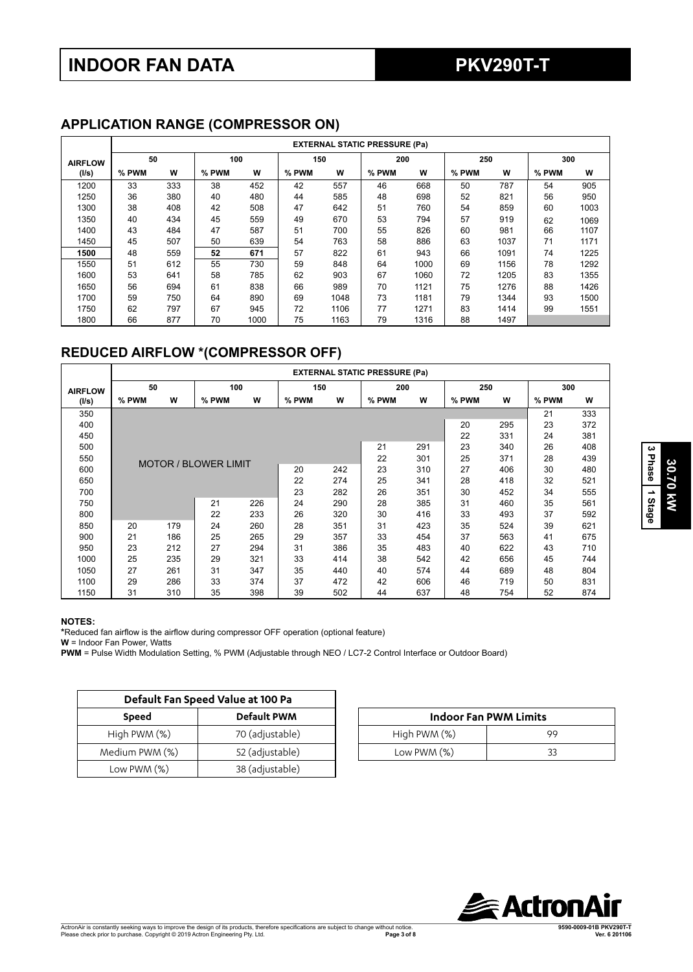## **APPLICATION RANGE (COMPRESSOR ON)**

|                | <b>EXTERNAL STATIC PRESSURE (Pa)</b> |     |       |      |       |      |       |      |       |      |       |      |
|----------------|--------------------------------------|-----|-------|------|-------|------|-------|------|-------|------|-------|------|
| <b>AIRFLOW</b> | 50                                   |     |       | 100  |       | 150  | 200   |      | 250   |      | 300   |      |
| (I/s)          | % PWM                                | W   | % PWM | W    | % PWM | W    | % PWM | W    | % PWM | W    | % PWM | W    |
| 1200           | 33                                   | 333 | 38    | 452  | 42    | 557  | 46    | 668  | 50    | 787  | 54    | 905  |
| 1250           | 36                                   | 380 | 40    | 480  | 44    | 585  | 48    | 698  | 52    | 821  | 56    | 950  |
| 1300           | 38                                   | 408 | 42    | 508  | 47    | 642  | 51    | 760  | 54    | 859  | 60    | 1003 |
| 1350           | 40                                   | 434 | 45    | 559  | 49    | 670  | 53    | 794  | 57    | 919  | 62    | 1069 |
| 1400           | 43                                   | 484 | 47    | 587  | 51    | 700  | 55    | 826  | 60    | 981  | 66    | 1107 |
| 1450           | 45                                   | 507 | 50    | 639  | 54    | 763  | 58    | 886  | 63    | 1037 | 71    | 1171 |
| 1500           | 48                                   | 559 | 52    | 671  | 57    | 822  | 61    | 943  | 66    | 1091 | 74    | 1225 |
| 1550           | 51                                   | 612 | 55    | 730  | 59    | 848  | 64    | 1000 | 69    | 1156 | 78    | 1292 |
| 1600           | 53                                   | 641 | 58    | 785  | 62    | 903  | 67    | 1060 | 72    | 1205 | 83    | 1355 |
| 1650           | 56                                   | 694 | 61    | 838  | 66    | 989  | 70    | 1121 | 75    | 1276 | 88    | 1426 |
| 1700           | 59                                   | 750 | 64    | 890  | 69    | 1048 | 73    | 1181 | 79    | 1344 | 93    | 1500 |
| 1750           | 62                                   | 797 | 67    | 945  | 72    | 1106 | 77    | 1271 | 83    | 1414 | 99    | 1551 |
| 1800           | 66                                   | 877 | 70    | 1000 | 75    | 1163 | 79    | 1316 | 88    | 1497 |       |      |

# **REDUCED AIRFLOW \*(COMPRESSOR OFF)**

|                | <b>EXTERNAL STATIC PRESSURE (Pa)</b> |     |                             |     |       |     |       |     |       |     |       |     |
|----------------|--------------------------------------|-----|-----------------------------|-----|-------|-----|-------|-----|-------|-----|-------|-----|
| <b>AIRFLOW</b> | 50                                   |     | 100                         |     | 150   |     | 200   |     | 250   |     | 300   |     |
| (1/s)          | % PWM                                | W   | % PWM                       | W   | % PWM | W   | % PWM | W   | % PWM | W   | % PWM | W   |
| 350            |                                      |     |                             |     |       |     |       |     |       |     | 21    | 333 |
| 400            |                                      |     |                             |     |       |     |       |     | 20    | 295 | 23    | 372 |
| 450            |                                      |     |                             |     |       |     |       |     | 22    | 331 | 24    | 381 |
| 500            |                                      |     |                             |     |       |     | 21    | 291 | 23    | 340 | 26    | 408 |
| 550            |                                      |     | <b>MOTOR / BLOWER LIMIT</b> |     |       |     | 22    | 301 | 25    | 371 | 28    | 439 |
| 600            |                                      |     |                             |     | 20    | 242 | 23    | 310 | 27    | 406 | 30    | 480 |
| 650            |                                      |     |                             |     | 22    | 274 | 25    | 341 | 28    | 418 | 32    | 521 |
| 700            |                                      |     |                             |     | 23    | 282 | 26    | 351 | 30    | 452 | 34    | 555 |
| 750            |                                      |     | 21                          | 226 | 24    | 290 | 28    | 385 | 31    | 460 | 35    | 561 |
| 800            |                                      |     | 22                          | 233 | 26    | 320 | 30    | 416 | 33    | 493 | 37    | 592 |
| 850            | 20                                   | 179 | 24                          | 260 | 28    | 351 | 31    | 423 | 35    | 524 | 39    | 621 |
| 900            | 21                                   | 186 | 25                          | 265 | 29    | 357 | 33    | 454 | 37    | 563 | 41    | 675 |
| 950            | 23                                   | 212 | 27                          | 294 | 31    | 386 | 35    | 483 | 40    | 622 | 43    | 710 |
| 1000           | 25                                   | 235 | 29                          | 321 | 33    | 414 | 38    | 542 | 42    | 656 | 45    | 744 |
| 1050           | 27                                   | 261 | 31                          | 347 | 35    | 440 | 40    | 574 | 44    | 689 | 48    | 804 |
| 1100           | 29                                   | 286 | 33                          | 374 | 37    | 472 | 42    | 606 | 46    | 719 | 50    | 831 |
| 1150           | 31                                   | 310 | 35                          | 398 | 39    | 502 | 44    | 637 | 48    | 754 | 52    | 874 |

#### **NOTES:**

**\***Reduced fan airflow is the airflow during compressor OFF operation (optional feature)

**W** = Indoor Fan Power, Watts

**PWM** = Pulse Width Modulation Setting, % PWM (Adjustable through NEO / LC7-2 Control Interface or Outdoor Board)

|                             | Default Fan Speed Value at 100 Pa |  |               |                              |
|-----------------------------|-----------------------------------|--|---------------|------------------------------|
| <b>Default PWM</b><br>Speed |                                   |  |               | <b>Indoor Fan PWM Limits</b> |
| High PWM (%)                | 70 (adjustable)                   |  | High PWM (%)  | 99                           |
| Medium PWM (%)              | 52 (adjustable)                   |  | Low PWM $(%)$ | 33                           |
| Low PWM $(\%)$              | 38 (adjustable)                   |  |               |                              |

| <b>Indoor Fan PWM Limits</b> |    |  |  |  |  |  |  |  |
|------------------------------|----|--|--|--|--|--|--|--|
| High PWM (%)                 | 99 |  |  |  |  |  |  |  |
| Low PWM $(\%)$               | 33 |  |  |  |  |  |  |  |



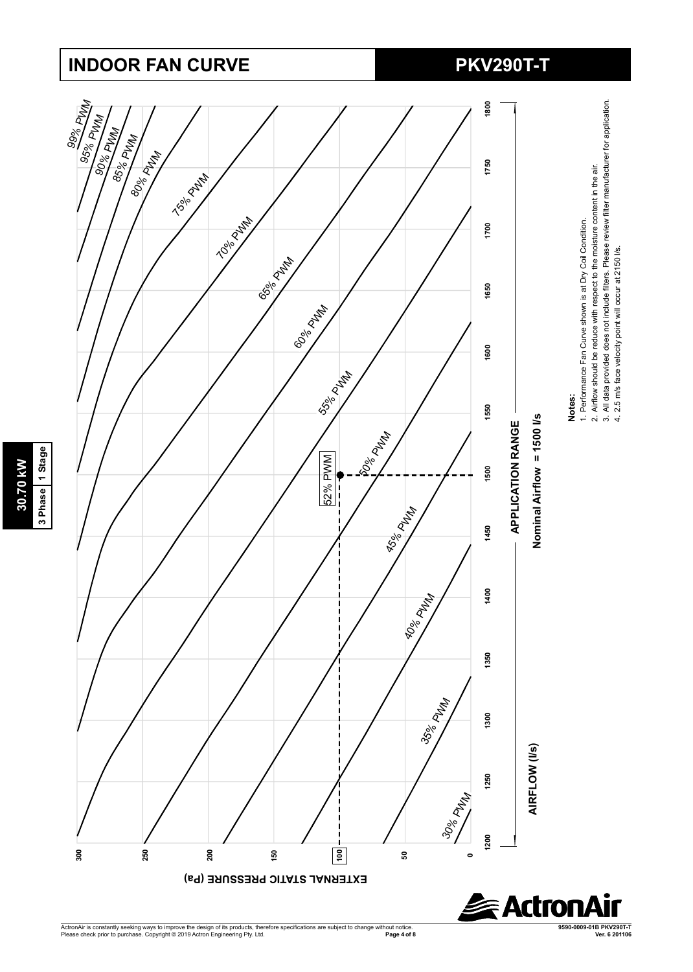# **INDOOR FAN CURVE PKV290T-T**

**30.70 kW 3 Phase 1 Stage**

30.70 kW

3 Phase 1 Stage



ActronAir is constantly seeking ways to improve the design of its products, therefore specifications are subject to change without notice.<br>Please check prior to purchase. Copyright © 2019 Actron Engineering Pty. Ltd. **Page 4 of 8 Ver. 6 201106** **9590-0009-01B PKV290T-T**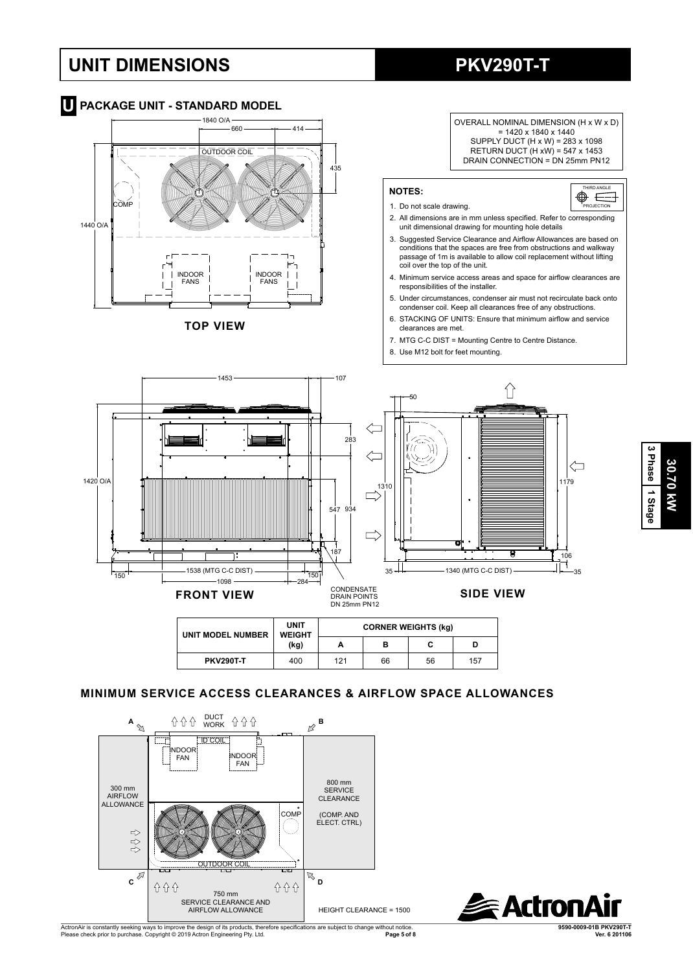# **UNIT DIMENSIONS PKV290T-T**



**See Actro** 

OUTDOOR COIL

 $\overline{c}$ 

合合合

 $\psi\psi\psi$ 

750 mm SERVICE CLEARANCE AND AIRFLOW ALLOWANCE

COMP COMP

**介介** 

(COMP. AND ELECT. CTRL)

。<br>D<br>D

HEIGHT CLEARANCE = 1500

**30.70 kW**

30.70 KW

**3 Phase**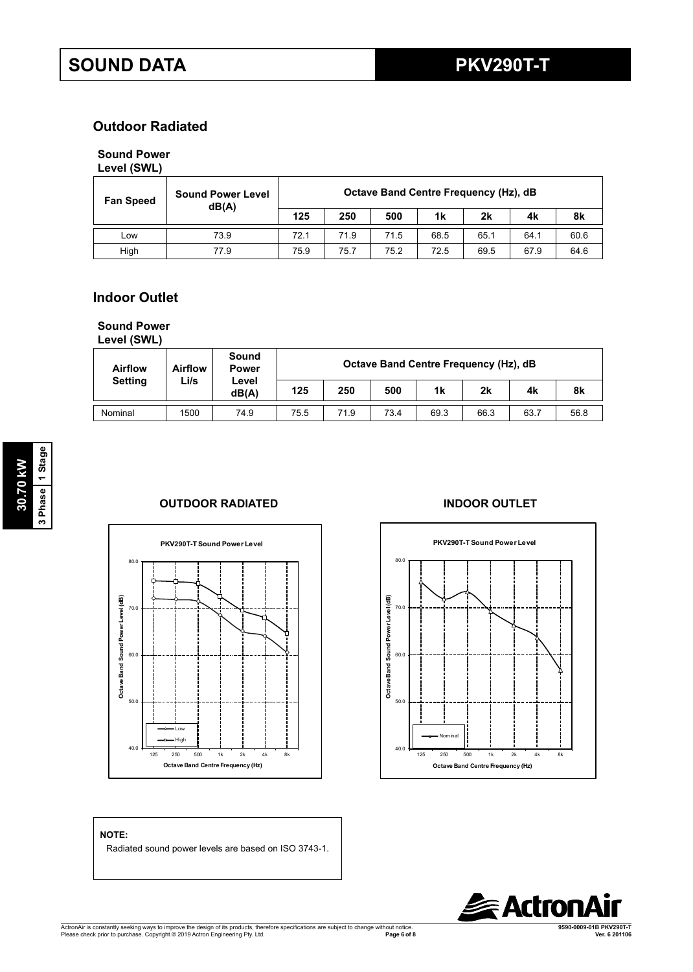## **Outdoor Radiated**

## **Sound Power**

## **Level (SWL)**

| <b>Fan Speed</b> | <b>Sound Power Level</b><br>dB(A) | Octave Band Centre Frequency (Hz), dB |      |      |      |      |      |      |  |
|------------------|-----------------------------------|---------------------------------------|------|------|------|------|------|------|--|
|                  |                                   | 125                                   | 250  | 500  | 1k   | 2k   | 4k   | 8k   |  |
| LOW              | 73.9                              | 72.1                                  | 71.9 | 71.5 | 68.5 | 65.1 | 64.1 | 60.6 |  |
| High             | 77.9                              | 75.9                                  | 75.7 | 75.2 | 72.5 | 69.5 | 67.9 | 64.6 |  |

## **Indoor Outlet**

# **Sound Power**

**Level (SWL)**

**NOTE:**

| <b>Airflow</b> | <b>Airflow</b><br>Li/s | Sound<br><b>Power</b><br>Level<br>dB(A) | Octave Band Centre Frequency (Hz), dB |      |      |      |      |      |      |  |  |
|----------------|------------------------|-----------------------------------------|---------------------------------------|------|------|------|------|------|------|--|--|
| <b>Setting</b> |                        |                                         | 125                                   | 250  | 500  | 1k   | 2k   | 4k   | 8k   |  |  |
| Nominal        | 1500                   | 74.9                                    | 75.5                                  | 71.9 | 73.4 | 69.3 | 66.3 | 63.7 | 56.8 |  |  |

## **OUTDOOR RADIATED INDOOR OUTLET**





# **Actro**

ActronAir is constantly seeking ways to improve the design of its products, therefore specifications are subject to change without notice.<br>Please check prior to purchase. Copyright © 2019 Actron Engineering Pty. Ltd. **Page 6 of 8 Ver. 6 201106**

Radiated sound power levels are based on ISO 3743-1.

**9590-0009-01B PKV290T-T**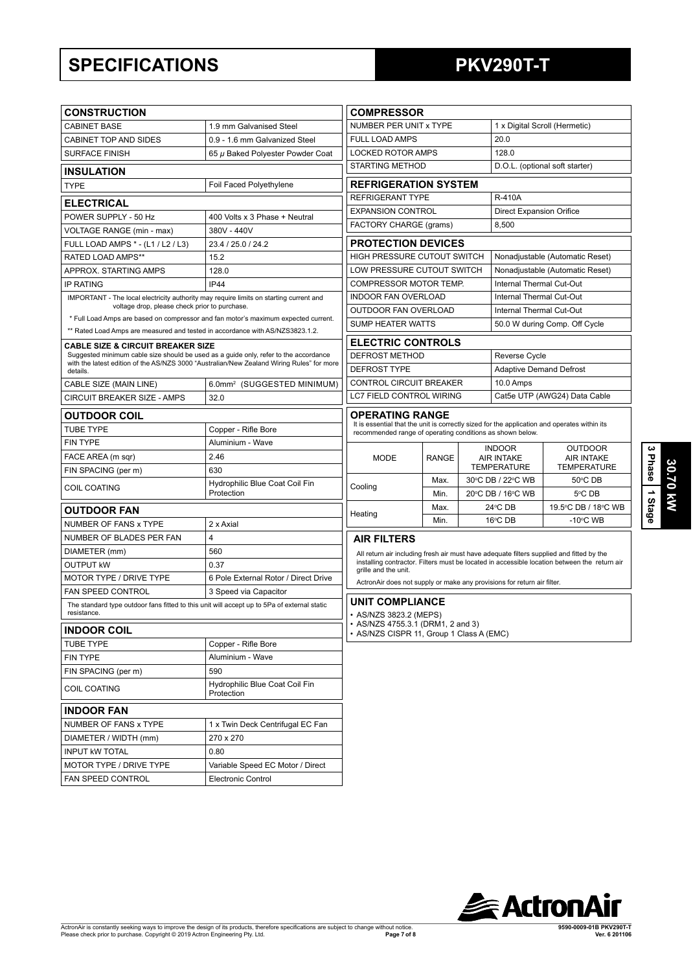# **SPECIFICATIONS PKV290T-T**

| <b>CONSTRUCTION</b>                                                                                                                  | <b>COMPRESSOR</b>                                                                         |                                                                                                 |      |                                                                                    |                                 |                                                                                              |  |
|--------------------------------------------------------------------------------------------------------------------------------------|-------------------------------------------------------------------------------------------|-------------------------------------------------------------------------------------------------|------|------------------------------------------------------------------------------------|---------------------------------|----------------------------------------------------------------------------------------------|--|
| <b>CABINET BASE</b>                                                                                                                  | 1.9 mm Galvanised Steel                                                                   | NUMBER PER UNIT x TYPE                                                                          |      |                                                                                    |                                 | 1 x Digital Scroll (Hermetic)                                                                |  |
| <b>CABINET TOP AND SIDES</b>                                                                                                         | 0.9 - 1.6 mm Galvanized Steel                                                             | <b>FULL LOAD AMPS</b>                                                                           |      |                                                                                    | 20.0                            |                                                                                              |  |
| <b>SURFACE FINISH</b>                                                                                                                | 65 µ Baked Polyester Powder Coat                                                          | <b>LOCKED ROTOR AMPS</b>                                                                        |      |                                                                                    | 128.0                           |                                                                                              |  |
| <b>INSULATION</b>                                                                                                                    |                                                                                           | <b>STARTING METHOD</b><br>D.O.L. (optional soft starter)                                        |      |                                                                                    |                                 |                                                                                              |  |
| <b>TYPE</b>                                                                                                                          | Foil Faced Polyethylene                                                                   | <b>REFRIGERATION SYSTEM</b>                                                                     |      |                                                                                    |                                 |                                                                                              |  |
| <b>ELECTRICAL</b>                                                                                                                    |                                                                                           | <b>REFRIGERANT TYPE</b><br><b>R-410A</b>                                                        |      |                                                                                    |                                 |                                                                                              |  |
| POWER SUPPLY - 50 Hz                                                                                                                 | 400 Volts x 3 Phase + Neutral                                                             | <b>EXPANSION CONTROL</b><br><b>Direct Expansion Orifice</b>                                     |      |                                                                                    |                                 |                                                                                              |  |
| <b>VOLTAGE RANGE (min - max)</b>                                                                                                     | 380V - 440V                                                                               | FACTORY CHARGE (grams)                                                                          |      |                                                                                    | 8,500                           |                                                                                              |  |
| FULL LOAD AMPS * - (L1 / L2 / L3)                                                                                                    | 23.4 / 25.0 / 24.2                                                                        | <b>PROTECTION DEVICES</b>                                                                       |      |                                                                                    |                                 |                                                                                              |  |
| <b>RATED LOAD AMPS**</b>                                                                                                             | 15.2                                                                                      | HIGH PRESSURE CUTOUT SWITCH                                                                     |      |                                                                                    |                                 | Nonadjustable (Automatic Reset)                                                              |  |
| APPROX. STARTING AMPS                                                                                                                | 128.0                                                                                     | LOW PRESSURE CUTOUT SWITCH                                                                      |      |                                                                                    |                                 | Nonadjustable (Automatic Reset)                                                              |  |
| <b>IP RATING</b>                                                                                                                     | <b>IP44</b>                                                                               | COMPRESSOR MOTOR TEMP.                                                                          |      |                                                                                    | <b>Internal Thermal Cut-Out</b> |                                                                                              |  |
| IMPORTANT - The local electricity authority may require limits on starting current and                                               |                                                                                           | INDOOR FAN OVERLOAD                                                                             |      |                                                                                    | Internal Thermal Cut-Out        |                                                                                              |  |
| voltage drop, please check prior to purchase.                                                                                        |                                                                                           | OUTDOOR FAN OVERLOAD                                                                            |      |                                                                                    | Internal Thermal Cut-Out        |                                                                                              |  |
|                                                                                                                                      | * Full Load Amps are based on compressor and fan motor's maximum expected current.        | <b>SUMP HEATER WATTS</b>                                                                        |      |                                                                                    |                                 | 50.0 W during Comp. Off Cycle                                                                |  |
| ** Rated Load Amps are measured and tested in accordance with AS/NZS3823.1.2.                                                        |                                                                                           | <b>ELECTRIC CONTROLS</b>                                                                        |      |                                                                                    |                                 |                                                                                              |  |
| <b>CABLE SIZE &amp; CIRCUIT BREAKER SIZE</b><br>Suggested minimum cable size should be used as a guide only, refer to the accordance |                                                                                           | DEFROST METHOD                                                                                  |      |                                                                                    | Reverse Cycle                   |                                                                                              |  |
| details.                                                                                                                             | with the latest edition of the AS/NZS 3000 "Australian/New Zealand Wiring Rules" for more | <b>DEFROST TYPE</b>                                                                             |      |                                                                                    | <b>Adaptive Demand Defrost</b>  |                                                                                              |  |
| CABLE SIZE (MAIN LINE)                                                                                                               | 6.0mm <sup>2</sup> (SUGGESTED MINIMUM)                                                    | CONTROL CIRCUIT BREAKER                                                                         |      |                                                                                    | 10.0 Amps                       |                                                                                              |  |
| CIRCUIT BREAKER SIZE - AMPS                                                                                                          | 32.0                                                                                      | LC7 FIELD CONTROL WIRING                                                                        |      |                                                                                    | Cat5e UTP (AWG24) Data Cable    |                                                                                              |  |
|                                                                                                                                      | <b>OPERATING RANGE</b>                                                                    |                                                                                                 |      |                                                                                    |                                 |                                                                                              |  |
| <b>OUTDOOR COIL</b>                                                                                                                  |                                                                                           | It is essential that the unit is correctly sized for the application and operates within its    |      |                                                                                    |                                 |                                                                                              |  |
| <b>TUBE TYPE</b><br><b>FIN TYPE</b>                                                                                                  | Copper - Rifle Bore<br>Aluminium - Wave                                                   | recommended range of operating conditions as shown below.                                       |      |                                                                                    |                                 |                                                                                              |  |
|                                                                                                                                      | 2.46                                                                                      |                                                                                                 |      | <b>INDOOR</b><br><b>OUTDOOR</b>                                                    |                                 |                                                                                              |  |
| FACE AREA (m sqr)                                                                                                                    | 630                                                                                       | <b>MODE</b><br><b>RANGE</b>                                                                     |      | <b>AIR INTAKE</b><br><b>AIR INTAKE</b><br><b>TEMPERATURE</b><br><b>TEMPERATURE</b> |                                 |                                                                                              |  |
| FIN SPACING (per m)                                                                                                                  | Hydrophilic Blue Coat Coil Fin                                                            |                                                                                                 | Max. |                                                                                    | 30°C DB / 22°C WB               | 50°C DB                                                                                      |  |
| <b>COIL COATING</b>                                                                                                                  | Protection                                                                                | Cooling                                                                                         | Min. |                                                                                    | 20°C DB / 16°C WB               | 5°C DB                                                                                       |  |
| <b>OUTDOOR FAN</b>                                                                                                                   |                                                                                           | Heating                                                                                         | Max. |                                                                                    | 24°C DB                         | 19.5°C DB / 18°C WB                                                                          |  |
| NUMBER OF FANS x TYPE                                                                                                                | 2 x Axial                                                                                 |                                                                                                 | Min. |                                                                                    | 16°C DB                         | $-10^{\circ}$ C WB                                                                           |  |
| NUMBER OF BLADES PER FAN                                                                                                             | 4                                                                                         | <b>AIR FILTERS</b>                                                                              |      |                                                                                    |                                 |                                                                                              |  |
| DIAMETER (mm)                                                                                                                        | 560                                                                                       | All return air including fresh air must have adequate filters supplied and fitted by the        |      |                                                                                    |                                 |                                                                                              |  |
| <b>OUTPUT KW</b>                                                                                                                     | 0.37                                                                                      |                                                                                                 |      |                                                                                    |                                 | installing contractor. Filters must be located in accessible location between the return air |  |
| <b>MOTOR TYPE / DRIVE TYPE</b>                                                                                                       | 6 Pole External Rotor / Direct Drive                                                      | grille and the unit.<br>ActronAir does not supply or make any provisions for return air filter. |      |                                                                                    |                                 |                                                                                              |  |
| FAN SPEED CONTROL                                                                                                                    | 3 Speed via Capacitor                                                                     |                                                                                                 |      |                                                                                    |                                 |                                                                                              |  |
| The standard type outdoor fans fitted to this unit will accept up to 5Pa of external static                                          |                                                                                           | <b>UNIT COMPLIANCE</b>                                                                          |      |                                                                                    |                                 |                                                                                              |  |
| resistance.                                                                                                                          |                                                                                           | • AS/NZS 3823.2 (MEPS)<br>• AS/NZS 4755.3.1 (DRM1, 2 and 3)                                     |      |                                                                                    |                                 |                                                                                              |  |
| <b>INDOOR COIL</b>                                                                                                                   |                                                                                           | • AS/NZS CISPR 11, Group 1 Class A (EMC)                                                        |      |                                                                                    |                                 |                                                                                              |  |
| <b>TUBE TYPE</b>                                                                                                                     | Copper - Rifle Bore                                                                       |                                                                                                 |      |                                                                                    |                                 |                                                                                              |  |
| <b>FIN TYPE</b>                                                                                                                      | Aluminium - Wave                                                                          |                                                                                                 |      |                                                                                    |                                 |                                                                                              |  |
| FIN SPACING (per m)                                                                                                                  | 590                                                                                       |                                                                                                 |      |                                                                                    |                                 |                                                                                              |  |
| COIL COATING                                                                                                                         | Hydrophilic Blue Coat Coil Fin<br>Protection                                              |                                                                                                 |      |                                                                                    |                                 |                                                                                              |  |
| <b>INDOOR FAN</b>                                                                                                                    |                                                                                           |                                                                                                 |      |                                                                                    |                                 |                                                                                              |  |
| NUMBER OF FANS x TYPE                                                                                                                | 1 x Twin Deck Centrifugal EC Fan                                                          |                                                                                                 |      |                                                                                    |                                 |                                                                                              |  |
| DIAMETER / WIDTH (mm)                                                                                                                | 270 x 270                                                                                 |                                                                                                 |      |                                                                                    |                                 |                                                                                              |  |
| <b>INPUT KW TOTAL</b>                                                                                                                | 0.80                                                                                      |                                                                                                 |      |                                                                                    |                                 |                                                                                              |  |
| MOTOR TYPE / DRIVE TYPE                                                                                                              | Variable Speed EC Motor / Direct                                                          |                                                                                                 |      |                                                                                    |                                 |                                                                                              |  |
| FAN SPEED CONTROL                                                                                                                    | <b>Electronic Control</b>                                                                 |                                                                                                 |      |                                                                                    |                                 |                                                                                              |  |
|                                                                                                                                      |                                                                                           |                                                                                                 |      |                                                                                    |                                 |                                                                                              |  |

**3 Phase**